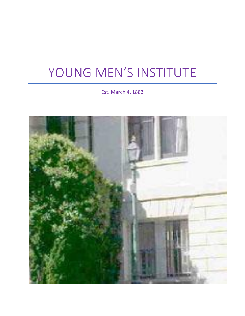# YOUNG MEN'S INSTITUTE

Est. March 4, 1883

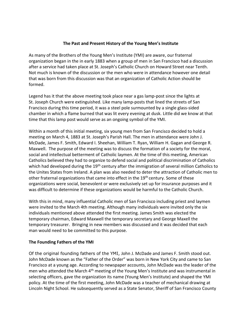# **The Past and Present History of the Young Men's Institute**

As many of the Brothers of the Young Men's Institute (YMI) are aware, our fraternal organization began in the in early 1883 when a group of men in San Francisco had a discussion after a service had taken place at St. Joseph's Catholic Church on Howard Street near Tenth. Not much is known of the discussion or the men who were in attendance however one detail that was born from this discussion was that an organization of Catholic Action should be formed.

Legend has it that the above meeting took place near a gas lamp-post since the lights at St. Joseph Church were extinguished. Like many lamp-posts that lined the streets of San Francisco during this time period, it was a steel pole surmounted by a single glass-sided chamber in which a flame burned that was lit every evening at dusk. Little did we know at that time that this lamp post would serve as an ongoing symbol of the YMI.

Within a month of this initial meeting, six young men from San Francisco decided to hold a meeting on March 4, 1883 at St. Joseph's Parish Hall. The men in attendance were John J. McDade, James F. Smith, Edward I. Sheehan, William T. Ryan, William H. Gagan and George R. Maxwell. The purpose of the meeting was to discuss the formation of a society for the moral, social and intellectual betterment of Catholic laymen. At the time of this meeting, American Catholics believed they had to organize to defend social and political discrimination of Catholics which had developed during the 19<sup>th</sup> century after the immigration of several million Catholics to the Unites States from Ireland. A plan was also needed to deter the attraction of Catholic men to other fraternal organizations that came into effect in the 19<sup>th</sup> century. Some of these organizations were social, benevolent or were exclusively set up for insurance purposes and it was difficult to determine if these organizations would be harmful to the Catholic Church.

With this in mind, many influential Catholic men of San Francisco including priest and laymen were invited to the March 4th meeting. Although many individuals were invited only the six individuals mentioned above attended the first meeting. James Smith was elected the temporary chairman, Edward Maxwell the temporary secretary and George Maxell the temporary treasurer. Bringing in new members was discussed and it was decided that each man would need to be committed to this purpose.

#### **The Founding Fathers of the YMI**

Of the original founding fathers of the YMI, John J. McDade and James F. Smith stood out. John McDade known as the "Father of the Order" was born in New York City and came to San Francisco at a young age. According to newspaper accounts, John McDade was the leader of the men who attended the March 4<sup>th</sup> meeting of the Young Men's Institute and was instrumental in selecting officers, gave the organization its name (Young Men's Institute) and shaped the YMI policy. At the time of the first meeting, John McDade was a teacher of mechanical drawing at Lincoln Night School. He subsequently served as a State Senator, Sheriff of San Francisco County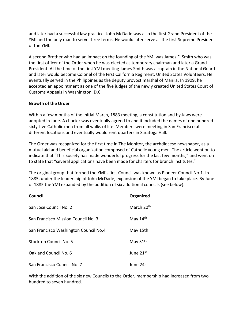and later had a successful law practice. John McDade was also the first Grand President of the YMI and the only man to serve three terms. He would later serve as the first Supreme President of the YMI.

A second Brother who had an impact on the founding of the YMI was James F. Smith who was the first officer of the Order when he was elected as temporary chairman and later a Grand President. At the time of the first YMI meeting James Smith was a captain in the National Guard and later would become Colonel of the First California Regiment, United States Volunteers. He eventually served in the Philippines as the deputy provost marshal of Manila. In 1909, he accepted an appointment as one of the five judges of the newly created United States Court of Customs Appeals in Washington, D.C.

# **Growth of the Order**

Within a few months of the initial March, 1883 meeting, a constitution and by-laws were adopted in June. A charter was eventually agreed to and it included the names of one hundred sixty-five Catholic men from all walks of life. Members were meeting in San Francisco at different locations and eventually would rent quarters in Saratoga Hall.

The Order was recognized for the first time in The Monitor, the archdiocese newspaper, as a mutual aid and beneficial organization composed of Catholic young men. The article went on to indicate that "This Society has made wonderful progress for the last few months," and went on to state that "several applications have been made for charters for branch institutes."

The original group that formed the YMI's first Council was known as Pioneer Council No.1. In 1885, under the leadership of John McDade, expansion of the YMI began to take place. By June of 1885 the YMI expanded by the addition of six additional councils (see below).

| Council                               | Organized              |
|---------------------------------------|------------------------|
| San Jose Council No. 2                | March 20 <sup>th</sup> |
| San Francisco Mission Council No. 3   | May $14th$             |
| San Francisco Washington Council No.4 | May 15th               |
| Stockton Council No. 5                | May $31st$             |
| Oakland Council No. 6                 | June 21st              |
| San Francisco Council No. 7           | June 24 <sup>th</sup>  |

With the addition of the six new Councils to the Order, membership had increased from two hundred to seven hundred.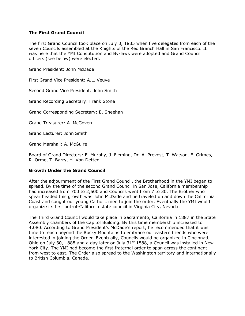### **The First Grand Council**

The first Grand Council took place on July 3, 1885 when five delegates from each of the seven Councils assembled at the Knights of the Red Branch Hall in San Francisco. It was here that the YMI Constitution and By-laws were adopted and Grand Council officers (see below) were elected.

Grand President: John McDade

First Grand Vice President: A.L. Veuve

Second Grand Vice President: John Smith

Grand Recording Secretary: Frank Stone

Grand Corresponding Secretary: E. Sheehan

Grand Treasurer: A. McGovern

Grand Lecturer: John Smith

Grand Marshall: A. McGuire

Board of Grand Directors: F. Murphy, J. Fleming, Dr. A. Prevost, T. Watson, F. Grimes, R. Orme, T. Barry, H. Von Detten

#### **Growth Under the Grand Council**

After the adjournment of the First Grand Council, the Brotherhood in the YMI began to spread. By the time of the second Grand Council in San Jose, California membership had increased from 700 to 2,500 and Councils went from 7 to 30. The Brother who spear headed this growth was John McDade and he traveled up and down the California Coast and sought out young Catholic men to join the order. Eventually the YMI would organize its first out-of-California state council in Virginia City, Nevada.

The Third Grand Council would take place in Sacramento, California in 1887 in the State Assembly chambers of the Capitol Building. By this time membership increased to 4,080. According to Grand President's McDade's report, he recommended that it was time to reach beyond the Rocky Mountains to embrace our eastern friends who were interested in joining the Order. Eventually, Councils would be organized in Cincinnati, Ohio on July 30, 1888 and a day later on July  $31<sup>st</sup> 1888$ , a Council was installed in New York City. The YMI had become the first fraternal order to span across the continent from west to east. The Order also spread to the Washington territory and internationally to British Columbia, Canada.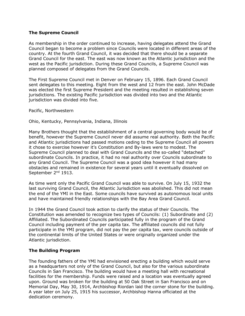### **The Supreme Council**

As membership in the order continued to increase, having delegates attend the Grand Council began to become a problem since Councils were located in different areas of the country. At the fourth Grand Council, it was decided that there should be a separate Grand Council for the east. The east was now known as the Atlantic jurisdiction and the west as the Pacific jurisdiction. During these Grand Councils, a Supreme Council was planned composed of delegates from the Grand Councils.

The First Supreme Council met in Denver on February 15, 1896. Each Grand Council sent delegates to this meeting. Eight from the west and 12 from the east. John McDade was elected the first Supreme President and the meeting resulted in establishing seven jurisdictions. The existing Pacific jurisdiction was divided into two and the Atlantic jurisdiction was divided into five.

Pacific, Northwestern

Ohio, Kentucky, Pennsylvania, Indiana, Illinois

Many Brothers thought that the establishment of a central governing body would be of benefit, however the Supreme Council never did assume real authority. Both the Pacific and Atlantic jurisdictions had passed motions ceding to the Supreme Council all powers it chose to exercise however it's Constitution and By-laws were to modest. The Supreme Council planned to deal with Grand Councils and the so-called "detached" subordinate Councils. In practice, it had no real authority over Councils subordinate to any Grand Council. The Supreme Council was a good idea however it had many obstacles and remained in existence for several years until it eventually dissolved on September 2<sup>nd</sup> 1913.

As time went only the Pacific Grand Council was able to survive. On July 15, 1932 the last surviving Grand Council, the Atlantic Jurisdiction was abolished. This did not mean the end of the YMI in the East. Some councils have survived as autonomous local units and have maintained friendly relationships with the Bay Area Grand Council.

In 1944 the Grand Council took action to clarify the status of their Councils. The Constitution was amended to recognize two types of Councils: (1) Subordinate and (2) Affiliated. The Subordinated Councils participated fully in the program of the Grand Council including payment of the per capita tax. The affiliated councils did not fully participate in the YMI program, did not pay the per capita tax, were councils outside of the continental limits of the United States or were originally organized under the Atlantic jurisdiction.

#### **The Building Program**

The founding fathers of the YMI had envisioned erecting a building which would serve as a headquarters not only of the Grand Council, but also for the various subordinate Councils in San Francisco. The building would have a meeting hall with recreational facilities for the membership. Funds were raised and a location was eventually agreed upon. Ground was broken for the building at 50 Oak Street in San Francisco and on Memorial Day, May 30, 1914, Archbishop Riordan laid the corner stone for the building. A year later on July 25, 1915 his successor, Archbishop Hanna officiated at the dedication ceremony.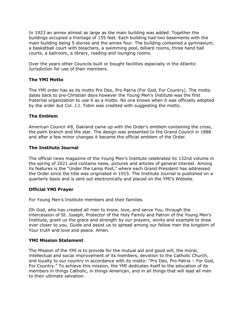In 1923 an annex almost as large as the main building was added. Together the buildings occupied a frontage of 155 feet. Each building had two basements with the main building being 5 stories and the annex four. The building contained a gymnasium, a basketball court with bleachers, a swimming pool, billiard rooms, three hand ball courts, a ballroom, a library, reading and lounging rooms.

Over the years other Councils built or bought facilities especially in the Atlantic Jurisdiction for use of their members.

#### **The YMI Motto**

The YMI order has as its motto Pro Deo, Pro Patria (For God, For Country). The motto dates back to pre-Christian days however the Young Men's Institute was the first fraternal organization to use it as a motto. No one knows when it was officially adopted by the order but Col. J.J. Tobin was credited with suggesting the motto.

#### **The Emblem**

American Council #8, Oakland came up with the Order's emblem containing the cross, the palm branch and the star. The design was presented to the Grand Council in 1888 and after a few minor changes it became the official emblem of the Order.

#### **The Institute Journal**

The official news magazine of the Young Men's Institute celebrated its 132nd volume in the spring of 2021 and contains news, pictures and articles of general interest. Among its features is the "Under the Lamp Post," where each Grand President has addressed the Order since the title was originated in 1915. The Institute Journal is published on a quarterly basis and is sent out electronically and placed on the YMI's Website.

#### **Official YMI Prayer**

For Young Men's Institute members and their families

Oh God, who has created all men to know, love, and serve You, through the intercession of St. Joseph, Protector of the Holy Family and Patron of the Young Men's Institute, grant us the grace and strength by our prayers, works and example to draw ever closer to you. Guide and assist us to spread among our fellow men the kingdom of Your truth and love and peace. Amen.

#### **YMI Mission Statement**

The Mission of the YMI is to provide for the mutual aid and good will, the moral, intellectual and social improvement of its members, devotion to the Catholic Church, and loyalty to our country in accordance with its motto: "Pro Deo, Pro Patria – For God, For Country." To achieve this mission, the YMI dedicates itself to the education of its members in things Catholic, in things American, and in all things that will lead all men to their ultimate salvation.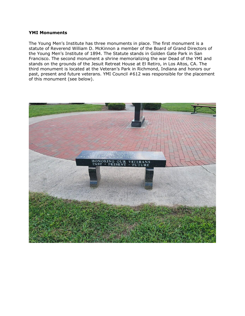#### **YMI Monuments**

The Young Men's Institute has three monuments in place. The first monument is a statute of Reverend William D. McKinnon a member of the Board of Grand Directors of the Young Men's Institute of 1894. The Statute stands in Golden Gate Park in San Francisco. The second monument a shrine memorializing the war Dead of the YMI and stands on the grounds of the Jesuit Retreat House at El Retiro, in Los Altos, CA. The third monument is located at the Veteran's Park in Richmond, Indiana and honors our past, present and future veterans. YMI Council #612 was responsible for the placement of this monument (see below).

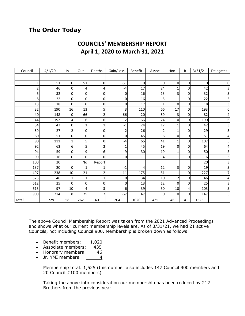# **The Order Today**

# **COUNCILS' MEMBERSHIP REPORT April 1, 2020 to March 31, 2021**

| Council        | 4/1/20 | In             | Out          | Deaths                  | Gain/Loss               | Benefit | Assoc.   | Hon.           | Jr        | 3/31/21 | Delegates               |
|----------------|--------|----------------|--------------|-------------------------|-------------------------|---------|----------|----------------|-----------|---------|-------------------------|
|                |        |                |              |                         |                         |         |          |                |           |         |                         |
| 1              | 51     | $\overline{0}$ | 51           | 0                       | $-51$                   | 0       | $\Omega$ | 0              | $\pmb{0}$ | 0       | $\mathsf{O}\xspace$     |
| $\overline{2}$ | 46     | 0              | 4            | 4                       | -4                      | 17      | 24       | 1              | 0         | 42      | $\mathbf{3}$            |
| 5              | 32     | $\mathbf{O}$   | $\mathbf 0$  | 0                       | 0                       | 16      | 13       | 3              | 0         | 32      | $\overline{\mathbf{3}}$ |
| 8              | 22     | $\mathbf{O}$   | 0            | 0                       | 0                       | 16      | 5        | 1              | 0         | 22      | $\mathbf{3}$            |
| 13             | 18     | $\mathbf{O}$   | 0            | 0                       | $\mathbf 0$             | 17      | 1        | 0              | $\pmb{0}$ | 18      | 3                       |
| 32             | 190    | 16             | 13           | 5                       | 3                       | 110     | 66       | 17             | 0         | 193     | 6                       |
| 40             | 148    | $\mathbf 0$    | 66           | 2                       | $-66$                   | 20      | 59       | 3              | 0         | 82      | $\overline{\mathbf{r}}$ |
| 44             | 192    | 4              | 6            | 6                       | $-2$                    | 166     | 24       | 0              | 0         | 190     | 6                       |
| 54             | 43     | 0              | $\mathbf{1}$ | 1                       | $-1$                    | 24      | 17       | $\mathbf{1}$   | 0         | 42      | $\mathbf{3}$            |
| 59             | 27     | 2              | 0            | 0                       | $\overline{\mathbf{c}}$ | 26      | 2        | 1              | 0         | 29      | 3                       |
| 60             | 51     | $\mathbf{O}$   | 0            | 0                       | 0                       | 45      | 6        | 0              | $\pmb{0}$ | 51      | $\overline{\mathbf{r}}$ |
| 80             | 111    | 1              | 5            | 0                       | $-4$                    | 65      | 41       | 1              | 0         | 107     | 5                       |
| 92             | 63     | 6              | 5            | $\overline{\mathbf{c}}$ | $\mathbf 1$             | 45      | 19       | 0              | $\pmb{0}$ | 64      | $\overline{\mathbf{r}}$ |
| 94             | 59     | 0              | 9            | 6                       | -9                      | 30      | 19       | 1              | 0         | 50      | $\overline{\mathbf{3}}$ |
| 99             | 16     | 0              | 0            | 0                       | 0                       | 11      | 4        | $\mathbf{1}$   | 0         | 16      | $\mathbf{3}$            |
| 100            | 20     |                | No           | Report                  |                         |         |          |                |           | 20      | $\overline{\mathbf{3}}$ |
| 137            | 20     | $\mathbf 0$    | $\mathbf{1}$ | 1                       | $-1$                    | 4       | 12       | 3              | 0         | 19      | $\overline{\mathbf{3}}$ |
| 497            | 238    | 10             | 21           | 2                       | $-11$                   | 175     | 51       | $\mathbf{1}$   | 0         | 227     | $\overline{7}$          |
| 573            | 46     | 1              | $\mathbf{1}$ | 1                       | 0                       | 34      | 10       | $\overline{2}$ | 0         | 46      | 4                       |
| 612            | 25     | $\Omega$       | 0            | 0                       | 0                       | 13      | 12       | 0              | $\pmb{0}$ | 25      | 3                       |
| 613            | 97     | 10             | 4            | 3                       | 6                       | 39      | 50       | 10             | 4         | 103     | 5                       |
| 900            | 214    | 8              | 75           | 7                       | $-67$                   | 147     | 0        | 0              | 0         | 147     | 5 <sup>1</sup>          |
| Total          | 1729   | 58             | 262          | 40                      | $-204$                  | 1020    | 435      | 46             | 4         | 1525    |                         |

The above Council Membership Report was taken from the 2021 Advanced Proceedings and shows what our current membership levels are. As of 3/31/21, we had 21 active Councils, not including Council 900. Membership is broken down as follows:

- Benefit members: 1,020
- Associate members: 435
- Honorary members 46
- Jr. YMI members: 4

Membership total: 1,525 (this number also includes 147 Council 900 members and 20 Council #100 members)

Taking the above into consideration our membership has been reduced by 212 Brothers from the previous year.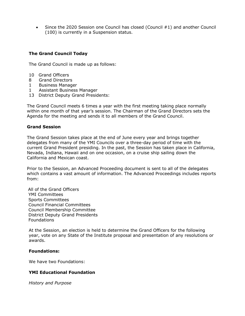• Since the 2020 Session one Council has closed (Council #1) and another Council (100) is currently in a Suspension status.

# **The Grand Council Today**

The Grand Council is made up as follows:

- 10 Grand Officers
- 8 Grand Directors
- 1 Business Manager
- 1 Assistant Business Manager
- 13 District Deputy Grand Presidents:

The Grand Council meets 6 times a year with the first meeting taking place normally within one month of that year's session. The Chairman of the Grand Directors sets the Agenda for the meeting and sends it to all members of the Grand Council.

#### **Grand Session**

The Grand Session takes place at the end of June every year and brings together delegates from many of the YMI Councils over a three-day period of time with the current Grand President presiding. In the past, the Session has taken place in California, Nevada, Indiana, Hawaii and on one occasion, on a cruise ship sailing down the California and Mexican coast.

Prior to the Session, an Advanced Proceeding document is sent to all of the delegates which contains a vast amount of information. The Advanced Proceedings includes reports from:

All of the Grand Officers YMI Committees Sports Committees Council Financial Committees Council Membership Committee District Deputy Grand Presidents **Foundations** 

At the Session, an election is held to determine the Grand Officers for the following year, vote on any State of the Institute proposal and presentation of any resolutions or awards.

#### **Foundations:**

We have two Foundations:

#### **YMI Educational Foundation**

*History and Purpose*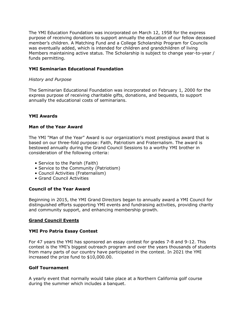The YMI Education Foundation was incorporated on March 12, 1958 for the express purpose of receiving donations to support annually the education of our fellow deceased member's children. A Matching Fund and a College Scholarship Program for Councils was eventually added, which is intended for children and grandchildren of living Members maintaining active status. The Scholarship is subject to change year-to-year / funds permitting.

# **YMI Seminarian Educational Foundation**

#### *History and Purpose*

The Seminarian Educational Foundation was incorporated on February 1, 2000 for the express purpose of receiving charitable gifts, donations, and bequests, to support annually the educational costs of seminarians.

# **YMI Awards**

#### **Man of the Year Award**

The YMI "Man of the Year" Award is our organization's most prestigious award that is based on our three-fold purpose: Faith, Patriotism and Fraternalism. The award is bestowed annually during the Grand Council Sessions to a worthy YMI brother in consideration of the following criteria:

- Service to the Parish (Faith)
- Service to the Community (Patriotism)
- Council Activities (Fraternalism)
- Grand Council Activities

#### **Council of the Year Award**

Beginning in 2015, the YMI Grand Directors began to annually award a YMI Council for distinguished efforts supporting YMI events and fundraising activities, providing charity and community support, and enhancing membership growth.

#### **Grand Council Events**

#### **YMI Pro Patria Essay Contest**

For 47 years the YMI has sponsored an essay contest for grades 7-8 and 9-12. This contest is the YMI's biggest outreach program and over the years thousands of students from many parts of our country have participated in the contest. In 2021 the YMI increased the prize fund to \$10,000.00.

#### **Golf Tournament**

A yearly event that normally would take place at a Northern California golf course during the summer which includes a banquet.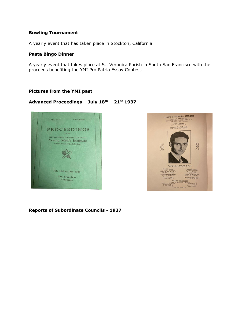#### **Bowling Tournament**

A yearly event that has taken place in Stockton, California.

#### **Pasta Bingo Dinner**

A yearly event that takes place at St. Veronica Parish in South San Francisco with the proceeds benefiting the YMI Pro Patria Essay Contest.

#### **Pictures from the YMI past**

# **Advanced Proceedings – July 18th – 21st 1937**





**Reports of Subordinate Councils - 1937**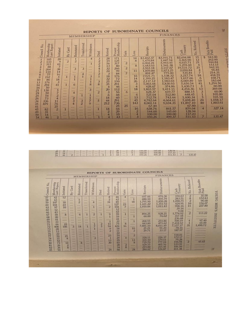|                                                                                                                   |                                                                                                                                                      |                                                                                                                                                                                                                           |                                                                                                                                                                                                                                                                                                                |                                                                                                                                                                                                                                                                                    |                                                                                                                                                                                                                                                                                                          | <b>MEMBERSHIP</b>                                                                                                                                                                                                                         |                                                                                                                                                                                                                                                              |                                                                                                                                                                               |                                                                                                                                                  | <b>FINANCES</b>                                                                                                                                                                                                                                                                                    |                                                                                                                                                                                                                                                   |                                                                                                                                                                                                                                                               |                                                                                                                                                                                                                                                          |                                                                                                                                                                                                                                                                     |                                           |                                                                                                                            |                                                                                                                                                                                                         |  |
|-------------------------------------------------------------------------------------------------------------------|------------------------------------------------------------------------------------------------------------------------------------------------------|---------------------------------------------------------------------------------------------------------------------------------------------------------------------------------------------------------------------------|----------------------------------------------------------------------------------------------------------------------------------------------------------------------------------------------------------------------------------------------------------------------------------------------------------------|------------------------------------------------------------------------------------------------------------------------------------------------------------------------------------------------------------------------------------------------------------------------------------|----------------------------------------------------------------------------------------------------------------------------------------------------------------------------------------------------------------------------------------------------------------------------------------------------------|-------------------------------------------------------------------------------------------------------------------------------------------------------------------------------------------------------------------------------------------|--------------------------------------------------------------------------------------------------------------------------------------------------------------------------------------------------------------------------------------------------------------|-------------------------------------------------------------------------------------------------------------------------------------------------------------------------------|--------------------------------------------------------------------------------------------------------------------------------------------------|----------------------------------------------------------------------------------------------------------------------------------------------------------------------------------------------------------------------------------------------------------------------------------------------------|---------------------------------------------------------------------------------------------------------------------------------------------------------------------------------------------------------------------------------------------------|---------------------------------------------------------------------------------------------------------------------------------------------------------------------------------------------------------------------------------------------------------------|----------------------------------------------------------------------------------------------------------------------------------------------------------------------------------------------------------------------------------------------------------|---------------------------------------------------------------------------------------------------------------------------------------------------------------------------------------------------------------------------------------------------------------------|-------------------------------------------|----------------------------------------------------------------------------------------------------------------------------|---------------------------------------------------------------------------------------------------------------------------------------------------------------------------------------------------------|--|
| Council No.                                                                                                       | Membership<br>Last Report                                                                                                                            | Initiated                                                                                                                                                                                                                 | Card<br>By                                                                                                                                                                                                                                                                                                     | Reinstated                                                                                                                                                                                                                                                                         | Transferred                                                                                                                                                                                                                                                                                              | Withdrawn                                                                                                                                                                                                                                 | Died                                                                                                                                                                                                                                                         | Retired                                                                                                                                                                       | Present<br>Membership                                                                                                                            | Gain                                                                                                                                                                                                                                                                                               | Loss                                                                                                                                                                                                                                              | Receipts                                                                                                                                                                                                                                                      | Disbursements                                                                                                                                                                                                                                            | Treasury<br>Cash                                                                                                                                                                                                                                                    | Relieved<br>ä<br>z                        |                                                                                                                            | Sick Benefits<br>Paid                                                                                                                                                                                   |  |
| $\frac{1}{2}$<br>$\overline{4}$<br>5689<br>10<br>13<br>14<br>16<br>21<br>2425263435<br>41<br>45<br>49<br>50<br>54 | 185<br>133<br>315<br>88<br>264<br>110<br>77<br>192<br>86<br>176<br>294<br>50<br>130<br>50<br>54<br>73<br>336<br>879<br>-----<br>82<br>31<br>14<br>46 | 20<br>$\overline{9}$<br>61<br>$\overline{7}$<br>38<br>14<br>16<br>5<br>18<br>$\mathbf{3}$<br>41<br><br>5<br>$\overline{z}$<br>$\overline{c}$<br>4<br>п<br>76<br>25<br>$\overline{2}$<br>$1 - 1 - 1 - 1$<br>$\overline{2}$ | $-1$<br>$\overline{c}$<br><b>ALLEY</b><br><b>STATISTICS</b><br><b>HARA</b><br><b>START</b><br><b>BERTH</b><br>п<br><b>Sidney</b><br><b>Holland</b><br>п<br><b>AREA</b><br><b>SALE</b><br><b>STATISTICS</b><br><b>STATISTICS</b><br>---<br><b>STARTS</b><br><b>Taxable</b><br><b>Alberta</b><br>П<br>---<br>--- | $\mathbf{I}$<br>$\overline{2}$<br><b>STATISTICS</b><br>----<br>з<br><b>Service</b><br>----<br>п<br>Л<br><b>ARRAN</b><br>6<br><b>SALE</b><br><b>GREE</b><br>4<br><b>Hotel</b><br>$\overline{2}$<br>3<br>$\overline{4}$<br><b>SHAR</b><br>2224<br>----<br>49.69<br><b>STATISTICS</b> | <b>House</b><br><b>Hinder</b><br><b>SHOP</b><br><b>SERVICE</b><br>3<br>---<br>4<br><b>SHOP</b><br><b>HARMER</b><br><b>STATE</b><br><b>ARRE</b><br><b>Service</b><br><b>BREE</b><br><b>STATE</b><br>3<br>$\overline{2}$<br><b>Service</b><br>---<br>---<br><b><i><u>Adventure</u></i></b><br><b>Harry</b> | 4<br><b>Andrew</b><br>п<br>alalan in<br><b>AMADE</b><br><b>Service</b><br><b>HALL</b><br>$\mathbf{3}$<br>8<br><b>HAME</b><br>3<br>----<br>1<br>Π<br>$\overline{7}$<br>9<br><b>ANNA</b><br><b>STAR</b><br><b>STATISTICS</b><br>----<br>--- | 3<br>$\frac{2}{2}$<br>$\overline{2}$<br>4<br>$\overline{2}$<br>$\mathbf{1}$<br><b>WEIGHT</b><br>$\overline{\mathbf{3}}$<br>8<br><b>Since</b><br><b>TANA</b><br>2<br><b>STATISTICS</b><br>3131<br>5<br><b>SALE</b><br>----<br><b>STATE</b><br><b>South of</b> | 28<br>19<br>56<br>13<br>32<br>24<br>$\mathbf{3}$<br>18<br>32<br>25<br>35<br>4<br>20<br>$\overline{3}$<br>6<br>18<br>44<br>212<br>------<br>18<br>$\overline{\mathbf{z}}$<br>4 | 171<br>125<br>317<br>80<br>266<br>99<br>84<br>176<br>72<br>150<br>291<br>46<br>112<br>56<br>48<br>60<br>291<br>736<br>25<br>66<br>29<br>10<br>43 | <b>COLLE</b><br>1000<br>$\overline{2}$<br><b>Colored</b><br>$\overline{2}$<br><b>First</b><br>7<br>----<br><b>Senior</b><br><b>START</b><br><b>Advent</b><br><b>County</b><br><b>Harry</b><br>6<br><b>BRYST</b><br><b>Since</b><br><b>START</b><br><b>STAR</b><br>25<br>---<br><b>START</b><br>--- | 14<br>$\mathbf{8}$<br>------<br>8<br><b>Bearest</b><br>11<br><b>Links</b><br>16<br>14<br>26<br>3<br>$\overline{4}$<br>18<br><b>STATISTICS</b><br>6<br>13<br>45<br>143<br><b><i><u>BARK NA</u></i></b><br>16<br>$\overline{\mathbf{2}}$<br>再<br>ß. | \$3,402.37<br>1,470.84<br>6,004.24<br>1.683.03<br>3,503.18<br>1,859.84<br>891.47<br>2,021.71<br>1.399.25<br>2,117.12<br>5,003.44<br>428,67<br>1,803.57<br>628.37<br>525.04<br>712.78<br>4,782.64<br>8,060.14<br>67.40<br>638.76<br>144.00<br>100.00<br>450.26 | \$3,591.71<br>1,447.54<br>5,993.45<br>1,541.38<br>3,117.67<br>1,673.25<br>775.00<br>1,538.32<br>1,183.47<br>1,903.03<br>5,830.93<br>374.86<br>1,411.11<br>619.77<br>512.80<br>743.44<br>4.664.61<br>9,034.35<br><br>861.57<br>145.60<br>100.00<br>499.37 | \$2,694.88<br>3,365.90<br>4,615.71<br>1,278.60<br>19,531.72<br>3,050.84<br>535.81<br>3,217.74<br>1.617.66<br>6,069.89<br>5,650.54<br>1,430.73<br>4,254.36<br>488.15<br>448.45<br>1,600.34<br>5.698.40<br>11,897.10<br>67.40<br>859.04<br>128.94<br>117.23<br>511.43 | 15<br>12<br>21<br>4<br>21<br>4<br>7<br>18 | \$<br>6<br>10<br>41<br>3<br>13<br>$\overline{\mathbf{3}}$<br>n<br>5<br>24<br>40<br>فللتو<br>4<br>----<br><b>ALLER</b><br>z | 943.00<br>262.00<br>944.84<br>153.15<br>942.10<br>96.85<br>214.31<br>418.59<br>168.71<br>183.64<br>1,294.50<br>60.00<br>369.00<br>60.00<br>105.00<br>195.50<br>1,058.17<br>1,803.61<br>327.14<br>135.47 |  |

|                                                                                                                                               |                                                                                                                          |                                                                                                                                                                                                                                                         |                                                                                                                                                                                                                                                                                                               |                                                                                                                                                                                                                                                                  |                                                                                                                                                                                                                                                             | <b>MEMBERSHIP</b>                                                                                                                                                                                                                         |                                                                                                                                                                                                                                            |                                                                                                                                                                                                                                                   |                                                                                                                                                 |                                                                                                                                                                                                                                                              |                                                                                                                                                                                                                                                                                                                     | REPORTS OF SUBORDINATE COUNCILS                                                                                                                                                              | <b>FINANCES</b>                                                                                                                                                                       |                                                                                                                                                                                                         |                                                                                                                                                                                                                                                                               |                                                                                                                                              |
|-----------------------------------------------------------------------------------------------------------------------------------------------|--------------------------------------------------------------------------------------------------------------------------|---------------------------------------------------------------------------------------------------------------------------------------------------------------------------------------------------------------------------------------------------------|---------------------------------------------------------------------------------------------------------------------------------------------------------------------------------------------------------------------------------------------------------------------------------------------------------------|------------------------------------------------------------------------------------------------------------------------------------------------------------------------------------------------------------------------------------------------------------------|-------------------------------------------------------------------------------------------------------------------------------------------------------------------------------------------------------------------------------------------------------------|-------------------------------------------------------------------------------------------------------------------------------------------------------------------------------------------------------------------------------------------|--------------------------------------------------------------------------------------------------------------------------------------------------------------------------------------------------------------------------------------------|---------------------------------------------------------------------------------------------------------------------------------------------------------------------------------------------------------------------------------------------------|-------------------------------------------------------------------------------------------------------------------------------------------------|--------------------------------------------------------------------------------------------------------------------------------------------------------------------------------------------------------------------------------------------------------------|---------------------------------------------------------------------------------------------------------------------------------------------------------------------------------------------------------------------------------------------------------------------------------------------------------------------|----------------------------------------------------------------------------------------------------------------------------------------------------------------------------------------------|---------------------------------------------------------------------------------------------------------------------------------------------------------------------------------------|---------------------------------------------------------------------------------------------------------------------------------------------------------------------------------------------------------|-------------------------------------------------------------------------------------------------------------------------------------------------------------------------------------------------------------------------------------------------------------------------------|----------------------------------------------------------------------------------------------------------------------------------------------|
| Council No.                                                                                                                                   | Membership<br>Last Report                                                                                                | Initiated                                                                                                                                                                                                                                               | Card<br>By                                                                                                                                                                                                                                                                                                    | Reinstated                                                                                                                                                                                                                                                       | Transferred                                                                                                                                                                                                                                                 | Withdrawn                                                                                                                                                                                                                                 | Died                                                                                                                                                                                                                                       | Retired                                                                                                                                                                                                                                           | Present<br>Membership                                                                                                                           | Gain                                                                                                                                                                                                                                                         | Loss                                                                                                                                                                                                                                                                                                                | Receipts                                                                                                                                                                                     | <b>Disbursements</b>                                                                                                                                                                  | Cash<br>Treasury                                                                                                                                                                                        | No. Relieved                                                                                                                                                                                                                                                                  | Sick Benefits<br>Paid                                                                                                                        |
| 57<br>58<br>59<br>60<br>63<br>65<br>66<br>67<br>68<br>69<br>70<br>71<br>72<br>73<br>75<br>$\frac{76}{77}$<br>78<br>79<br>80<br>81<br>82<br>85 | 42<br>43<br>107<br>104<br>97<br>12<br>43<br>58<br>20<br>41<br>33<br>66<br>408<br>28<br>13<br>225652542<br>73<br>26<br>26 | 12<br><b><i><u><u>Listendorf</u></u></i></b><br>18<br>23<br>10<br><b>SALAMA</b><br><b>SHIPPER</b><br>8<br><b>Green be</b><br><b>SERVICE</b><br><b>HERMAN</b><br>22<br>106<br>3-4-444<br><b>SERVICE</b><br>-----<br>21<br>8<br>14<br>$\frac{2}{8}$<br>90 | <b>AMER</b><br>dalam<br>anno.<br>سند<br><b>Since</b><br><b>Service</b><br>$-$<br><b>Service</b><br><b>Second</b><br><b>Andrew</b><br><b>SAME</b><br><b>MARKET</b><br>3<br><b>HANG</b><br><b>Table 1</b><br><b>State</b><br><b>Sales</b><br><b>HAAH</b><br><b>START</b><br><b>Alakan</b><br>7777<br><b>AAA</b> | ---<br>1<br>$\overline{2}$<br>Abit.<br><b>ALLES</b><br><b>HARAN</b><br><b>Address</b><br>6<br>-<br><b>Advise</b><br>---<br>بست<br>14<br><b>HARA</b><br><b>ALL</b><br><b>HAME</b><br>-<br><b>STATISTICS</b><br><b>STATE</b><br>$\mathbf{B}$<br>---<br><b>SHAR</b> | $-44$<br><b>HELE</b><br><b>HELE</b><br><b>HEER</b><br><b>ANK</b><br>Ark and<br>3401<br>1<br><b>Are press</b><br>-<br><b>TITTE</b><br>المواسد<br>$\mathbf{I}$<br><b>Texas</b><br>-<br>----<br><b>Harry</b><br><b>START</b><br>---<br>-<br>---<br><b>TEST</b> | <b>Service</b><br>-<br>4<br><b>WEIGHT</b><br>1<br>$+$<br><b>START</b><br>$\overline{2}$<br><b>Service</b><br><b>High</b><br>$\overline{1}$<br>$\frac{1}{7}$<br>п<br><b>Market</b><br>1.11<br>- 3<br>3<br><b>ALL</b><br>---<br>---<br>mini | <b>SALE</b><br><b>SALES</b><br>$\cdots$<br><b>SALES</b><br>$+ + +$<br>$+ - -$<br>$1 - 1$<br>2441<br><b>ALLES</b><br><b>Allege</b><br>$\frac{2}{5}$<br><b>SEA</b><br>--<br><b>Service</b><br>-<br>--<br>-<br>--<br>-<br><b>The Contract</b> | $\overline{8}$<br>$\overline{2}$<br>34<br><b>CONSUMER</b><br>$\overline{z}$<br><b>HAMADA</b><br><b>HELENA</b><br>$\mathcal{Q}$<br>п<br><b>CONTRACT</b><br>11<br>94<br>$\mathcal{P}$<br>$\overline{z}$<br>---<br>23<br>13<br>30<br>$\overline{24}$ | 46<br>42<br>89<br>127<br>104<br>12<br>43<br>59<br>19<br>$\frac{41}{32}$<br>424<br>18<br>11<br>22<br>54<br>29<br>$rac{29}{65}$<br>28<br>34<br>66 | 4<br>$+111$<br>$+ + +$<br>23<br>$\overline{7}$<br><b>SWEET</b><br>$-111$<br>а<br>-<br>asso.<br><b>ARAN</b><br>8<br>16<br><b>Window</b><br><b>Texture</b><br><b>ALL</b><br><b>STATISTICS</b><br>$\overline{\mathcal{A}}$<br>3434<br>--<br>$\overline{a}$<br>8 | <b><i><u>initial</u></i></b><br>$\mathbf{1}$<br>18<br><b><i>STERNE</i></b><br>------<br><b>MARINEZ</b><br><b>American</b><br>-----<br>п<br><b>CONTRACT</b><br>п<br><br><b>Parkinski</b><br>10<br>$\overline{2}$<br><b>LEASER</b><br>$\overline{2}$<br><b>SEAR AN</b><br>13<br>8<br><b>ALLEN AND</b><br>------<br>24 | 697.66<br>480.10<br>1,791.90<br>1,421.22<br>1,010.84<br>894.25<br>60.00<br>268.95<br>443.89<br>7,881.10<br>$\frac{25.21}{29.71}$<br>320.11<br>105.50<br>729.70<br>429.55<br>219.00<br>280.02 | 676.36<br>495.79<br>1,850.28<br>1,351.92<br>1,011.83<br>928.21<br>76.02<br>254.86<br>475.62<br>8,011.49<br>91.29<br>33.17<br>226.37<br>179.61<br>777.04<br>405.56<br>215.45<br>524.87 | 334.63<br>283.51<br>1,090.75<br>424.91<br>998.16<br>39.16<br>9.04<br>1,774.92<br>317.18<br>236,68<br>500.19<br>7,418.92<br>7,157.17<br>78.16<br>518.81<br>172.17<br>79.28<br>196.98<br>106.50<br>411.38 | $\overline{2}$<br>$\overline{8}$<br>$\overline{2}$<br>10<br>11<br>alana.<br><b>HERE</b><br>$\overline{2}$<br><b>TERRITORY</b><br><b>Since</b><br>$\overline{4}$<br>ı<br>31<br><b>SAMP</b><br>-<br>144<br>-<br><b>Taxable Inc.</b><br>$\overline{2}$<br><b>Time</b><br>$+ + +$ | 35.00<br>152.83<br>96.00<br>156.07<br>237.80<br>113.22<br><b><i>Committee Committee Committee</i></b><br>97.40<br>65,00<br>1,490.72<br>45.65 |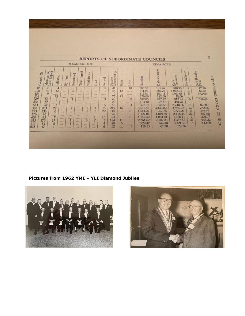| REPORTS OF SUBORDINATE COUNCILS<br><b>MEMBERSHIP</b><br><b>FINANCES</b>                                                          |                                                                                         |                                                                                                                          |                                                                                                                                                                                                                                                  |                                                                                                                                                                         |                                                                                                                               |                                                                                                                                                               |                                                                                                                                                                              |                                                                                                                                                   |                                                                                    |                                                                                                                                                    |                                                                                                                                                                |                                                                                                                                                    |                                                                                                                                                 |                                                                                                                                                           |                              |                                                                                                                                                                               |                                                                                                          |
|----------------------------------------------------------------------------------------------------------------------------------|-----------------------------------------------------------------------------------------|--------------------------------------------------------------------------------------------------------------------------|--------------------------------------------------------------------------------------------------------------------------------------------------------------------------------------------------------------------------------------------------|-------------------------------------------------------------------------------------------------------------------------------------------------------------------------|-------------------------------------------------------------------------------------------------------------------------------|---------------------------------------------------------------------------------------------------------------------------------------------------------------|------------------------------------------------------------------------------------------------------------------------------------------------------------------------------|---------------------------------------------------------------------------------------------------------------------------------------------------|------------------------------------------------------------------------------------|----------------------------------------------------------------------------------------------------------------------------------------------------|----------------------------------------------------------------------------------------------------------------------------------------------------------------|----------------------------------------------------------------------------------------------------------------------------------------------------|-------------------------------------------------------------------------------------------------------------------------------------------------|-----------------------------------------------------------------------------------------------------------------------------------------------------------|------------------------------|-------------------------------------------------------------------------------------------------------------------------------------------------------------------------------|----------------------------------------------------------------------------------------------------------|
| $\frac{2\pi}{2}$ $\frac{8}{2}$ $\frac{8}{2}$ $\frac{1}{2}$ $\frac{1}{2}$ $\frac{1}{2}$ $\frac{1}{2}$ $\frac{1}{2}$ $\frac{1}{2}$ | Membership<br>Last Report                                                               | Initiated                                                                                                                | By Card                                                                                                                                                                                                                                          | Reinstated                                                                                                                                                              | Transferred                                                                                                                   | Withdrawn                                                                                                                                                     | Died                                                                                                                                                                         | Retired                                                                                                                                           | Present<br>Membership                                                              | Gain                                                                                                                                               | Loss                                                                                                                                                           | Receipts                                                                                                                                           | Disbursements                                                                                                                                   | Cash<br>Treasury                                                                                                                                          | No. Relieved                 | Sick Benefits<br>Paid                                                                                                                                                         |                                                                                                          |
| 201<br>307<br>460<br>563                                                                                                         | 51<br>42<br>9<br>execute<br>56<br>22<br>62<br>203<br>136<br>96<br>93<br>173<br>84<br>17 | $\frac{4}{3}$<br>13<br>ANNANNA<br>75<br>$\mathbf{I}$<br><br>$\mathbf{I}$<br>28<br>6<br>----<br>$\overline{7}$<br>17<br>8 | <b>SAME</b><br><b>CANAL</b><br><b>AMAX</b><br><b>TERR</b><br><b>SAAL</b><br><b>HARAN</b><br><b>See.</b><br><b>Side</b><br>----<br><b>Norway</b><br><b>NAMES</b><br>market.<br><b>Adams</b><br><b>HERE</b><br><b>SHAW</b><br>فتفقط<br><b>SALE</b> | intalla,<br>$\overline{z}$<br><b>Avenue</b><br><b>House</b><br>1<br><b>ALCOHOL</b><br><b>Abba</b><br>7<br>1.11<br>5<br><b>House</b><br><b>Windows</b><br><b>Alaster</b> | <b>GALLY</b><br>---<br><b>Market</b><br><b>Alberta</b><br>4444<br><b>BASE</b><br>---<br><b>HORACE</b><br><b>Green</b><br>4444 | <b>HAAR</b><br>$-111$<br><b>MAIN</b><br>module.<br>1<br><b>AMAR</b><br><b>Kaliford</b><br>3<br>1<br><b>Sales</b><br>4444<br>6<br><b>STARTS</b><br><b>STEP</b> | <b>BARL</b><br><b>Service</b><br><b>WWW.</b><br>-<br><b>AAST</b><br><b>ALCOHOL:</b><br><b>MARK</b><br>1<br>1<br><b>SANK</b><br>1<br>$\overline{2}$<br><b>ALCOHOL</b><br>1000 | 14<br>$\overline{c}$<br><b>WINDOW</b><br><b>BEARING</b><br>$\circ$<br>-----<br>$\frac{5}{15}$<br>22<br><b>ARRIVER</b><br>16<br>3<br>4<br>$\alpha$ | 41<br>54<br>$\cdot$ 9<br>754822<br>58<br>219<br>118<br>96<br>83<br>184<br>89<br>12 | <b>Single</b><br>12<br>$\overline{75}$<br>$+11$<br><b>Contract</b><br><b>Andre</b><br>16<br><b>Walker</b><br><b>TERR</b><br>4440<br>п<br>5<br>1.11 | 10<br><b>Linking</b><br><b>Corner</b><br><b>BEREAK</b><br>8<br><b>HEARS</b><br>洱<br><b>GALLAND</b><br>18<br><b>Advises</b><br>10<br>-----<br><b>HELEN</b><br>5 | 206.50<br>541.06<br>112.89<br>170.00<br>692.05<br>123.10<br>427.92<br>3,431.65<br>1,514.29<br>1,127.04<br>1,152.42<br>2,261.62<br>928.47<br>119.55 | 191.26<br>569.70<br>189.15<br>112.00<br>822.22<br>123.10<br>540.55<br>3,430.82<br>967.75<br>1,049.89<br>1,084.04<br>2,189.23<br>740.30<br>61.70 | 370.95<br>1,082.01<br>1,769.68<br>58.00<br>913.81<br>494.47<br>2,740.66<br>4,965.27<br>3,772.29<br>2,416.44<br>1,058.11<br>1,357.55<br>3,321.59<br>329.76 | 1<br>$\overline{3}$<br>44,94 | 17.50<br>62.80<br>162.00<br>5<br><b><i><u><u>A Alian Aliam Announ</u></u></i></b><br>310.60<br>6<br>$+1$<br>8<br>13<br>6<br>$\overline{22}$<br>7<br>26<br>3<br><b>Calgary</b> | FIFTY-THIRD GRAND<br>460.00<br>762.05<br>394.98<br>507.00<br>229.97<br>943.22<br>142.00<br>------------- |

**Pictures from 1962 YMI – YLI Diamond Jubilee**